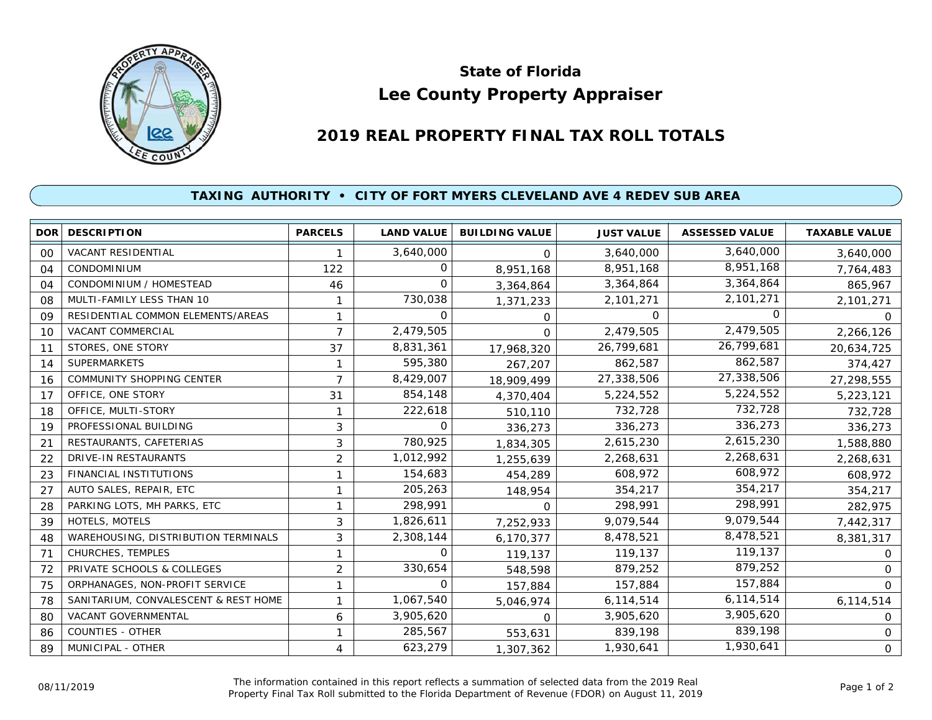

## **Lee County Property Appraiser State of Florida**

## **2019 REAL PROPERTY FINAL TAX ROLL TOTALS**

## **TAXING AUTHORITY • CITY OF FORT MYERS CLEVELAND AVE 4 REDEV SUB AREA**

|    | <b>DOR DESCRIPTION</b>               | <b>PARCELS</b> | <b>LAND VALUE</b> | <b>BUILDING VALUE</b> | <b>JUST VALUE</b> | <b>ASSESSED VALUE</b> | <b>TAXABLE VALUE</b> |
|----|--------------------------------------|----------------|-------------------|-----------------------|-------------------|-----------------------|----------------------|
| 00 | <b>VACANT RESIDENTIAL</b>            |                | 3,640,000         | $\Omega$              | 3,640,000         | 3,640,000             | 3,640,000            |
| 04 | <b>CONDOMINIUM</b>                   | 122            | O                 | 8,951,168             | 8,951,168         | 8,951,168             | 7,764,483            |
| 04 | CONDOMINIUM / HOMESTEAD              | 46             | 0                 | 3,364,864             | 3,364,864         | 3,364,864             | 865,967              |
| 08 | MULTI-FAMILY LESS THAN 10            |                | 730,038           | 1,371,233             | 2,101,271         | 2,101,271             | 2,101,271            |
| 09 | RESIDENTIAL COMMON ELEMENTS/AREAS    | 1              | 0                 | 0                     | 0                 | 0                     | $\Omega$             |
| 10 | VACANT COMMERCIAL                    | $\overline{7}$ | 2,479,505         | $\Omega$              | 2,479,505         | 2,479,505             | 2,266,126            |
| 11 | STORES, ONE STORY                    | 37             | 8,831,361         | 17,968,320            | 26,799,681        | 26,799,681            | 20,634,725           |
| 14 | <b>SUPERMARKETS</b>                  | 1              | 595,380           | 267,207               | 862,587           | 862,587               | 374,427              |
| 16 | COMMUNITY SHOPPING CENTER            | $\overline{7}$ | 8,429,007         | 18,909,499            | 27,338,506        | 27,338,506            | 27,298,555           |
| 17 | OFFICE, ONE STORY                    | 31             | 854,148           | 4,370,404             | 5,224,552         | 5,224,552             | 5,223,121            |
| 18 | OFFICE, MULTI-STORY                  | 1              | 222,618           | 510,110               | 732,728           | 732,728               | 732,728              |
| 19 | PROFESSIONAL BUILDING                | 3              | $\Omega$          | 336,273               | 336,273           | 336,273               | 336,273              |
| 21 | RESTAURANTS, CAFETERIAS              | 3              | 780,925           | 1,834,305             | 2,615,230         | 2,615,230             | 1,588,880            |
| 22 | <b>DRIVE-IN RESTAURANTS</b>          | $\overline{2}$ | 1,012,992         | 1,255,639             | 2,268,631         | 2,268,631             | 2,268,631            |
| 23 | FINANCIAL INSTITUTIONS               | 1              | 154,683           | 454,289               | 608,972           | 608,972               | 608,972              |
| 27 | AUTO SALES, REPAIR, ETC              | 1              | 205,263           | 148,954               | 354,217           | 354,217               | 354,217              |
| 28 | PARKING LOTS, MH PARKS, ETC          | 1              | 298,991           | <sup>o</sup>          | 298,991           | 298,991               | 282,975              |
| 39 | HOTELS, MOTELS                       | 3              | 1,826,611         | 7,252,933             | 9,079,544         | 9,079,544             | 7,442,317            |
| 48 | WAREHOUSING, DISTRIBUTION TERMINALS  | 3              | 2,308,144         | 6,170,377             | 8,478,521         | 8,478,521             | 8,381,317            |
| 71 | CHURCHES, TEMPLES                    | 1              | $\Omega$          | 119,137               | 119,137           | 119,137               | O                    |
| 72 | PRIVATE SCHOOLS & COLLEGES           | $\overline{c}$ | 330,654           | 548,598               | 879,252           | 879,252               | 0                    |
| 75 | ORPHANAGES, NON-PROFIT SERVICE       | 1              | $\Omega$          | 157,884               | 157,884           | 157,884               | $\Omega$             |
| 78 | SANITARIUM, CONVALESCENT & REST HOME | 1              | 1,067,540         | 5,046,974             | 6,114,514         | 6,114,514             | 6,114,514            |
| 80 | VACANT GOVERNMENTAL                  | 6              | 3,905,620         | $\Omega$              | 3,905,620         | 3,905,620             | 0                    |
| 86 | <b>COUNTIES - OTHER</b>              | 1              | 285,567           | 553,631               | 839,198           | 839,198               | 0                    |
| 89 | MUNICIPAL - OTHER                    | 4              | 623,279           | 1,307,362             | 1,930,641         | 1,930,641             | $\overline{O}$       |